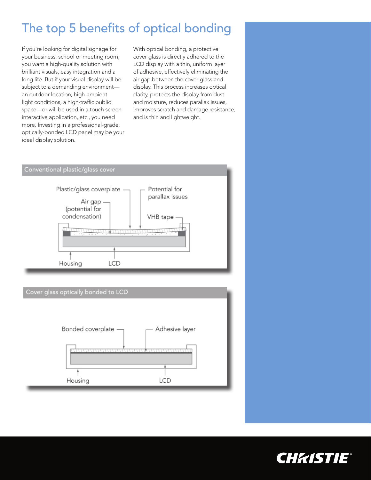# The top 5 benefits of optical bonding

If you're looking for digital signage for your business, school or meeting room, you want a high-quality solution with brilliant visuals, easy integration and a long life. But if your visual display will be subject to a demanding environment an outdoor location, high-ambient light conditions, a high-traffic public space—or will be used in a touch screen interactive application, etc., you need more. Investing in a professional-grade, optically-bonded LCD panel may be your ideal display solution.

With optical bonding, a protective cover glass is directly adhered to the LCD display with a thin, uniform layer of adhesive, effectively eliminating the air gap between the cover glass and display. This process increases optical clarity, protects the display from dust and moisture, reduces parallax issues, improves scratch and damage resistance, and is thin and lightweight.

## Conventional plastic/glass cover



## Cover glass optically bonded to LCD



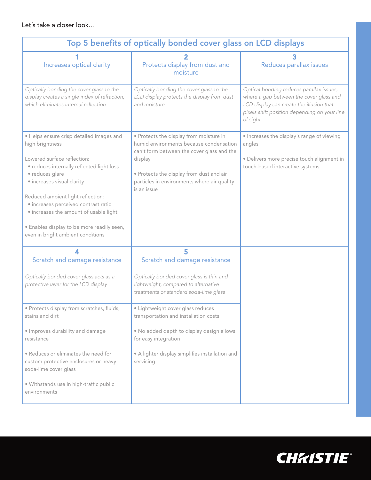Let's take a closer look...

| Top 5 benefits of optically bonded cover glass on LCD displays                                                                                                                                                                                                                                                                                                                                     |                                                                                                                                                                                                                                                       |                                                                                                                                                                                             |
|----------------------------------------------------------------------------------------------------------------------------------------------------------------------------------------------------------------------------------------------------------------------------------------------------------------------------------------------------------------------------------------------------|-------------------------------------------------------------------------------------------------------------------------------------------------------------------------------------------------------------------------------------------------------|---------------------------------------------------------------------------------------------------------------------------------------------------------------------------------------------|
| Increases optical clarity                                                                                                                                                                                                                                                                                                                                                                          | Protects display from dust and<br>moisture                                                                                                                                                                                                            | Reduces parallax issues                                                                                                                                                                     |
| Optically bonding the cover glass to the<br>display creates a single index of refraction,<br>which eliminates internal reflection                                                                                                                                                                                                                                                                  | Optically bonding the cover glass to the<br>LCD display protects the display from dust<br>and moisture                                                                                                                                                | Optical bonding reduces parallax issues,<br>where a gap between the cover glass and<br>LCD display can create the illusion that<br>pixels shift position depending on your line<br>of sight |
| · Helps ensure crisp detailed images and<br>high brightness<br>Lowered surface reflection:<br>· reduces internally reflected light loss<br>· reduces glare<br>· increases visual clarity<br>Reduced ambient light reflection:<br>· increases perceived contrast ratio<br>· increases the amount of usable light<br>· Enables display to be more readily seen,<br>even in bright ambient conditions | · Protects the display from moisture in<br>humid environments because condensation<br>can't form between the cover glass and the<br>display<br>· Protects the display from dust and air<br>particles in environments where air quality<br>is an issue | · Increases the display's range of viewing<br>angles<br>· Delivers more precise touch alignment in<br>touch-based interactive systems                                                       |
| Scratch and damage resistance                                                                                                                                                                                                                                                                                                                                                                      | 5<br>Scratch and damage resistance                                                                                                                                                                                                                    |                                                                                                                                                                                             |
| Optically bonded cover glass acts as a<br>protective layer for the LCD display                                                                                                                                                                                                                                                                                                                     | Optically bonded cover glass is thin and<br>lightweight, compared to alternative<br>treatments or standard soda-lime glass                                                                                                                            |                                                                                                                                                                                             |
| · Protects display from scratches, fluids,<br>stains and dirt                                                                                                                                                                                                                                                                                                                                      | · Lightweight cover glass reduces<br>transportation and installation costs                                                                                                                                                                            |                                                                                                                                                                                             |
| · Improves durability and damage<br>resistance                                                                                                                                                                                                                                                                                                                                                     | . No added depth to display design allows<br>for easy integration                                                                                                                                                                                     |                                                                                                                                                                                             |
| . Reduces or eliminates the need for<br>custom protective enclosures or heavy<br>soda-lime cover glass                                                                                                                                                                                                                                                                                             | • A lighter display simplifies installation and<br>servicing                                                                                                                                                                                          |                                                                                                                                                                                             |
| · Withstands use in high-traffic public<br>environments                                                                                                                                                                                                                                                                                                                                            |                                                                                                                                                                                                                                                       |                                                                                                                                                                                             |